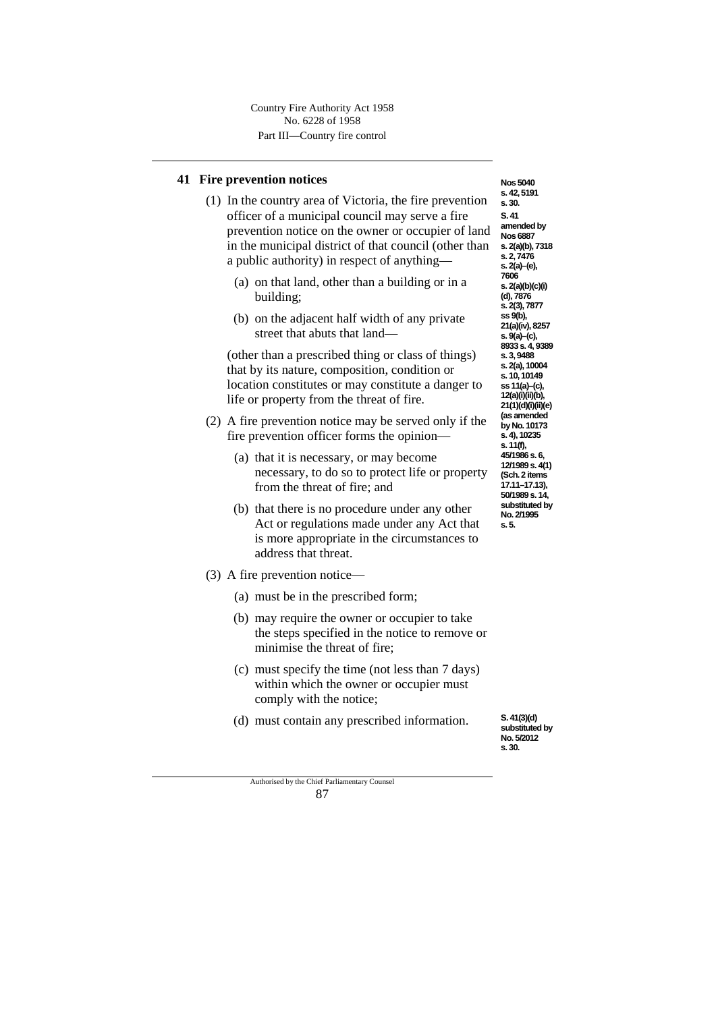### **41 Fire prevention notices**

- (1) In the country area of Victoria, the fire prevention officer of a municipal council may serve a fire prevention notice on the owner or occupier of land in the municipal district of that council (other than a public authority) in respect of anything—
	- (a) on that land, other than a building or in a building;
	- (b) on the adjacent half width of any private street that abuts that land—

(other than a prescribed thing or class of things) that by its nature, composition, condition or location constitutes or may constitute a danger to life or property from the threat of fire.

- (2) A fire prevention notice may be served only if the fire prevention officer forms the opinion—
	- (a) that it is necessary, or may become necessary, to do so to protect life or property from the threat of fire; and
	- (b) that there is no procedure under any other Act or regulations made under any Act that is more appropriate in the circumstances to address that threat.
- (3) A fire prevention notice—
	- (a) must be in the prescribed form;
	- (b) may require the owner or occupier to take the steps specified in the notice to remove or minimise the threat of fire;
	- (c) must specify the time (not less than 7 days) within which the owner or occupier must comply with the notice;
	- (d) must contain any prescribed information.

**s. 42, 5191 s. 30. S. 41 amended by Nos 6887 s. 2(a)(b), 7318 s. 2, 7476 s. 2(a)–(e), 7606 s. 2(a)(b)(c)(i) (d), 7876 s. 2(3), 7877 ss 9(b), 21(a)(iv), 8257 s. 9(a)–(c), 8933 s. 4, 9389 s. 3, 9488 s. 2(a), 10004 s. 10, 10149 ss 11(a)–(c), 12(a)(i)(ii)(b), 21(1)(d)(i)(ii)(e) (as amended by No. 10173 s. 4), 10235 s. 11(f), 45/1986 s. 6, 12/1989 s. 4(1) (Sch. 2 items 17.11–17.13), 50/1989 s. 14, substituted by No. 2/1995**

**s. 5.**

**Nos 5040**

**S. 41(3)(d) substituted by No. 5/2012 s. 30.**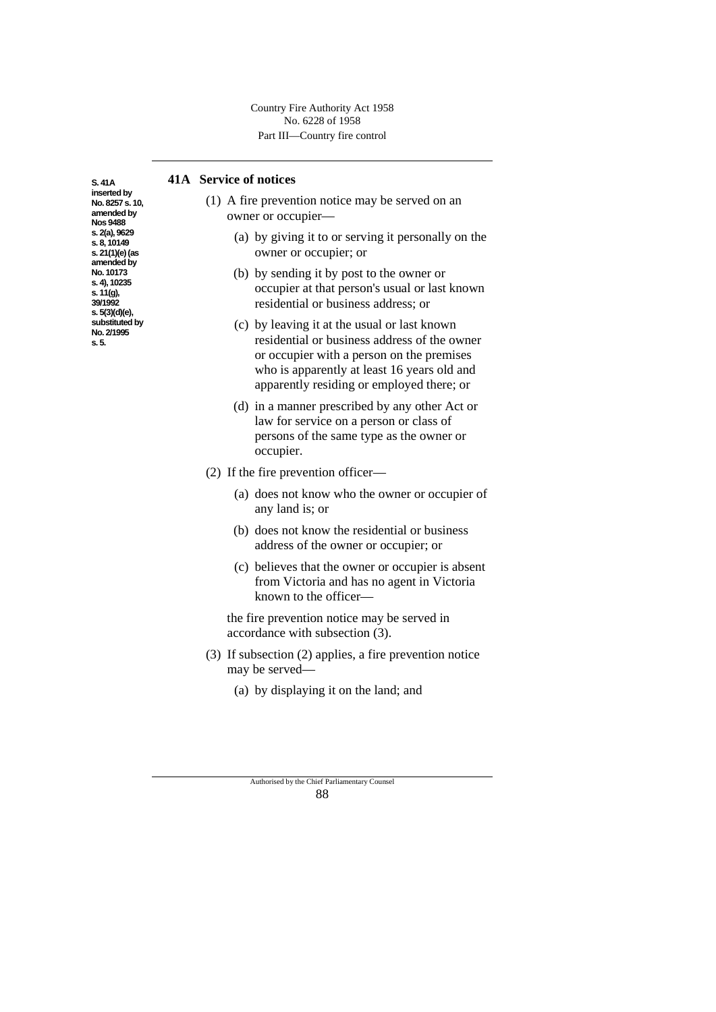## **41A Service of notices**

**S. 41A inserted by No. 8257 s. 10, amended by Nos 9488 s. 2(a), 9629 s. 8, 10149 s. 21(1)(e)(as amended by No. 10173 s. 4), 10235 s. 11(g), 39/1992 s. 5(3)(d)(e), substituted by No. 2/1995 s. 5.**

- (1) A fire prevention notice may be served on an owner or occupier—
	- (a) by giving it to or serving it personally on the owner or occupier; or
	- (b) by sending it by post to the owner or occupier at that person's usual or last known residential or business address; or
	- (c) by leaving it at the usual or last known residential or business address of the owner or occupier with a person on the premises who is apparently at least 16 years old and apparently residing or employed there; or
	- (d) in a manner prescribed by any other Act or law for service on a person or class of persons of the same type as the owner or occupier.
- (2) If the fire prevention officer—
	- (a) does not know who the owner or occupier of any land is; or
	- (b) does not know the residential or business address of the owner or occupier; or
	- (c) believes that the owner or occupier is absent from Victoria and has no agent in Victoria known to the officer—

the fire prevention notice may be served in accordance with subsection (3).

- (3) If subsection (2) applies, a fire prevention notice may be served—
	- (a) by displaying it on the land; and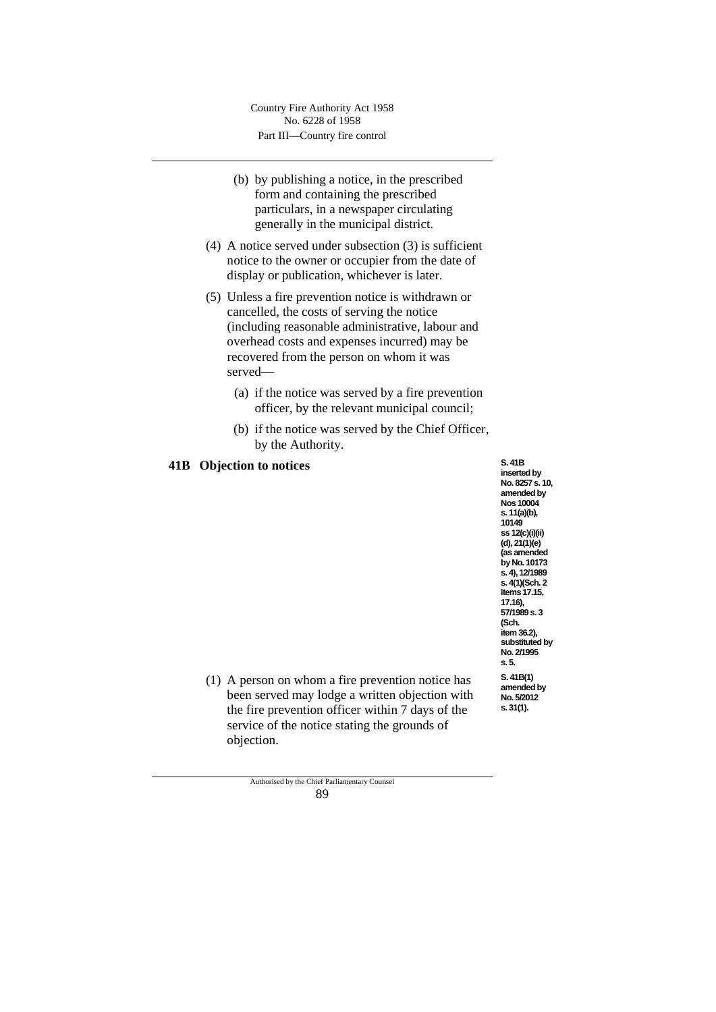- (b) by publishing a notice, in the prescribed form and containing the prescribed particulars, in a newspaper circulating generally in the municipal district.
- (4) A notice served under subsection (3) is sufficient notice to the owner or occupier from the date of display or publication, whichever is later.
- (5) Unless a fire prevention notice is withdrawn or cancelled, the costs of serving the notice (including reasonable administrative, labour and overhead costs and expenses incurred) may be recovered from the person on whom it was served—
	- (a) if the notice was served by a fire prevention officer, by the relevant municipal council;
	- (b) if the notice was served by the Chief Officer, by the Authority.

### **41B Objection to notices**

**S. 41B inserted by No. 8257 s. 10, amended by Nos 10004 s. 11(a)(b), 10149 ss 12(c)(i)(ii) (d), 21(1)(e) (as amended by No. 10173 s. 4), 12/1989 s. 4(1)(Sch. 2 items17.15, 17.16), 57/1989 s. 3 (Sch. item 36.2), substituted by No. 2/1995 s. 5. S. 41B(1) amended by No. 5/2012 s. 31(1).**

(1) A person on whom a fire prevention notice has been served may lodge a written objection with the fire prevention officer within 7 days of the service of the notice stating the grounds of objection.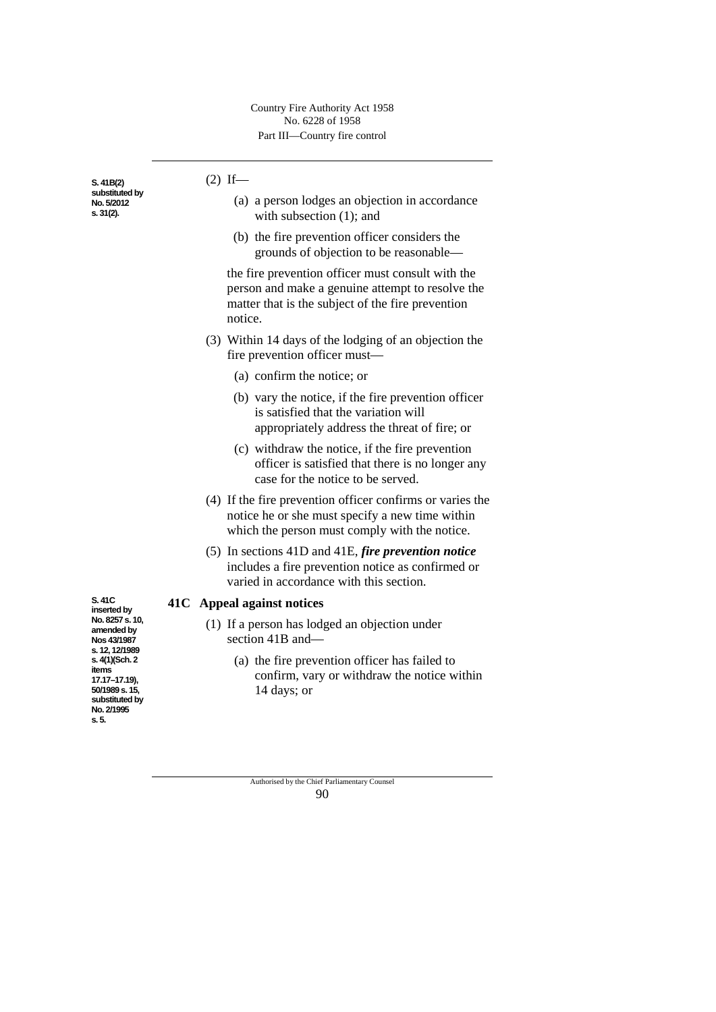**S. 41B(2) substituted by No. 5/2012 s. 31(2).**

| $(2)$ If— |                                                                                                                                                                                                                                                                                     |
|-----------|-------------------------------------------------------------------------------------------------------------------------------------------------------------------------------------------------------------------------------------------------------------------------------------|
|           | (a) a person lodges an objection in accordance<br>with subsection $(1)$ ; and                                                                                                                                                                                                       |
|           | (b) the fire prevention officer considers the<br>grounds of objection to be reasonable—                                                                                                                                                                                             |
|           | the fire prevention officer must consult with the<br>$\sim$ . The contract of the contract of the contract of the contract of the state of the state of the contract of the state of the state of the state of the state of the state of the state of the state of the state of the |

person and make a genuine attempt to resolve the matter that is the subject of the fire prevention notice.

- (3) Within 14 days of the lodging of an objection the fire prevention officer must—
	- (a) confirm the notice; or
	- (b) vary the notice, if the fire prevention officer is satisfied that the variation will appropriately address the threat of fire; or
	- (c) withdraw the notice, if the fire prevention officer is satisfied that there is no longer any case for the notice to be served.
- (4) If the fire prevention officer confirms or varies the notice he or she must specify a new time within which the person must comply with the notice.
- (5) In sections 41D and 41E, *fire prevention notice* includes a fire prevention notice as confirmed or varied in accordance with this section.

# **41C Appeal against notices**

- (1) If a person has lodged an objection under section 41B and—
	- (a) the fire prevention officer has failed to confirm, vary or withdraw the notice within 14 days; or

Authorised by the Chief Parliamentary Counsel 90

**S. 41C inserted by No. 8257 s. 10, amended by Nos 43/1987 s. 12, 12/1989 s. 4(1)(Sch. 2 items 17.17–17.19), 50/1989 s. 15, substituted by No. 2/1995 s. 5.**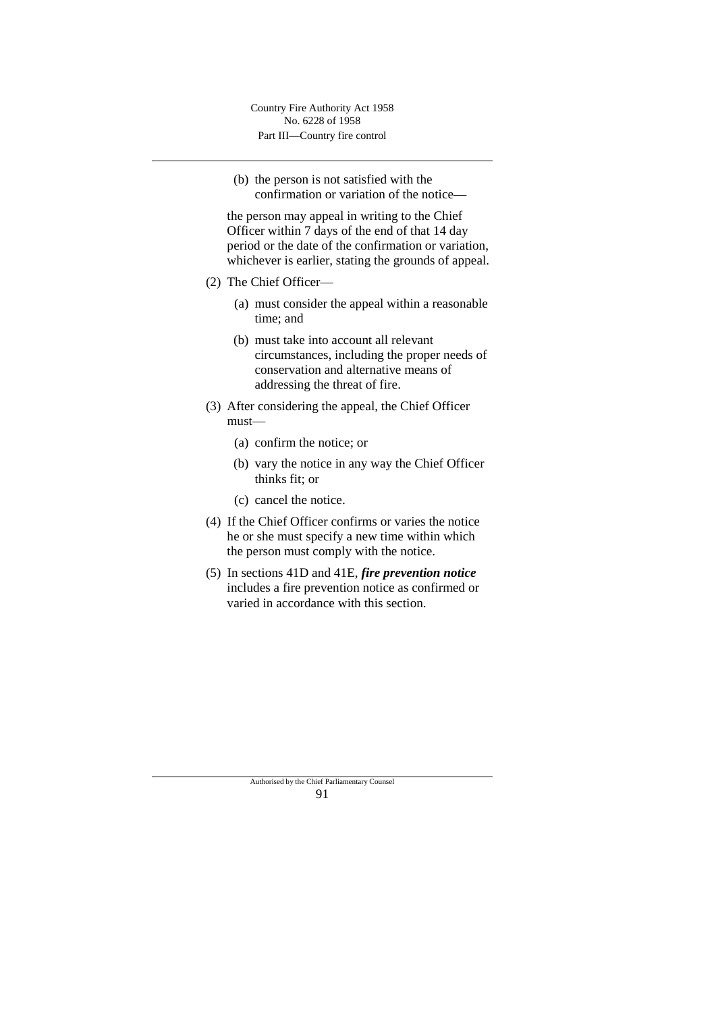(b) the person is not satisfied with the confirmation or variation of the notice—

the person may appeal in writing to the Chief Officer within 7 days of the end of that 14 day period or the date of the confirmation or variation, whichever is earlier, stating the grounds of appeal.

- (2) The Chief Officer—
	- (a) must consider the appeal within a reasonable time; and
	- (b) must take into account all relevant circumstances, including the proper needs of conservation and alternative means of addressing the threat of fire.
- (3) After considering the appeal, the Chief Officer must—
	- (a) confirm the notice; or
	- (b) vary the notice in any way the Chief Officer thinks fit; or
	- (c) cancel the notice.
- (4) If the Chief Officer confirms or varies the notice he or she must specify a new time within which the person must comply with the notice.
- (5) In sections 41D and 41E, *fire prevention notice* includes a fire prevention notice as confirmed or varied in accordance with this section.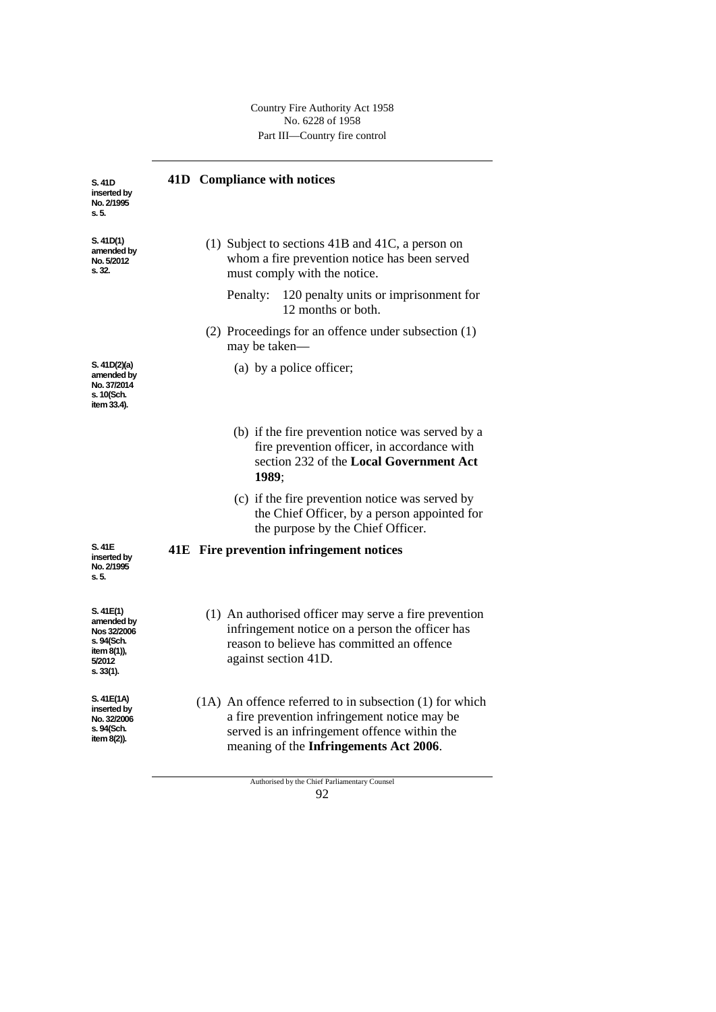| S. 41D<br>inserted by<br>No. 2/1995<br>s. 5.                                               | 41D Compliance with notices                                                                                                                                                                           |
|--------------------------------------------------------------------------------------------|-------------------------------------------------------------------------------------------------------------------------------------------------------------------------------------------------------|
| S. 41D(1)<br>amended by<br>No. 5/2012<br>s. 32.                                            | (1) Subject to sections $41B$ and $41C$ , a person on<br>whom a fire prevention notice has been served<br>must comply with the notice.                                                                |
|                                                                                            | 120 penalty units or imprisonment for<br>Penalty:<br>12 months or both.                                                                                                                               |
|                                                                                            | (2) Proceedings for an offence under subsection (1)<br>may be taken—                                                                                                                                  |
| S. 41D(2)(a)<br>amended by<br>No. 37/2014<br>s. 10(Sch.<br>item 33.4).                     | (a) by a police officer;                                                                                                                                                                              |
|                                                                                            | (b) if the fire prevention notice was served by a<br>fire prevention officer, in accordance with<br>section 232 of the Local Government Act<br>1989:                                                  |
|                                                                                            | (c) if the fire prevention notice was served by<br>the Chief Officer, by a person appointed for<br>the purpose by the Chief Officer.                                                                  |
| S. 41E<br>inserted by<br>No. 2/1995<br>s. 5.                                               | 41E Fire prevention infringement notices                                                                                                                                                              |
| S. 41E(1)<br>amended by<br>Nos 32/2006<br>s. 94(Sch.<br>item 8(1)),<br>5/2012<br>s. 33(1). | (1) An authorised officer may serve a fire prevention<br>infringement notice on a person the officer has<br>reason to believe has committed an offence<br>against section 41D.                        |
| S. 41E(1A)<br>inserted by<br>No. 32/2006<br>s. 94(Sch.<br>item 8(2)).                      | $(1A)$ An offence referred to in subsection $(1)$ for which<br>a fire prevention infringement notice may be<br>served is an infringement offence within the<br>meaning of the Infringements Act 2006. |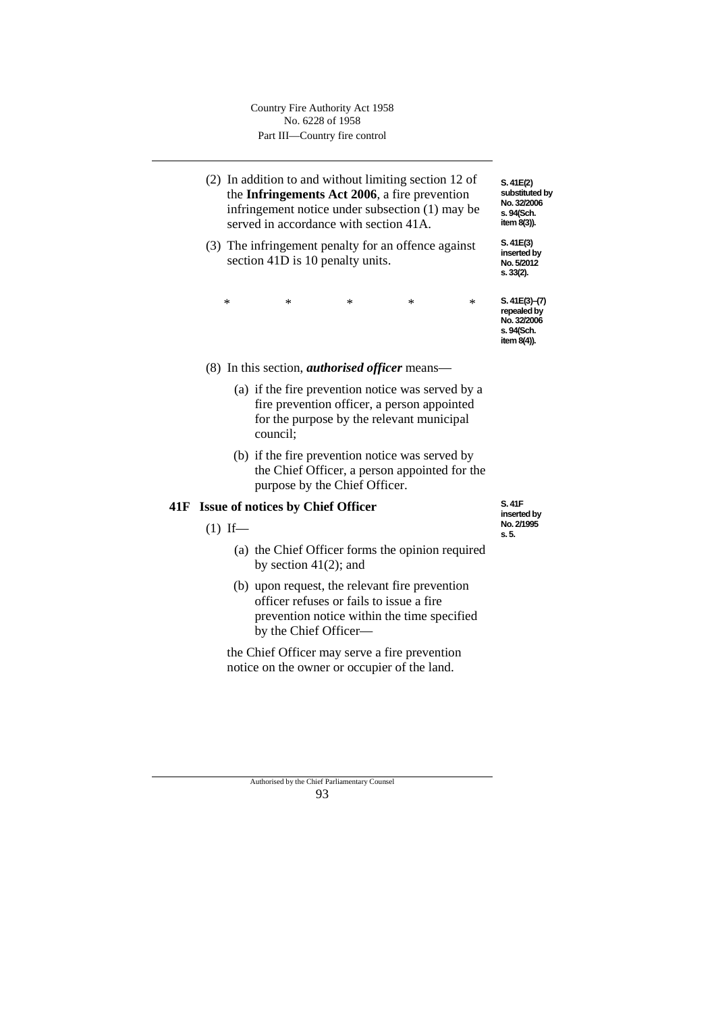- (2) In addition to and without limiting section 12 of the **Infringements Act 2006**, a fire prevention infringement notice under subsection (1) may be served in accordance with section 41A.
- (3) The infringement penalty for an offence against section 41D is 10 penalty units.

| $\ast$    | S.41E(3)–(7) |
|-----------|--------------|
| $\ast$    | repealed by  |
| $\ast$    | No. 32/2006  |
| $^{\ast}$ | s. 94(Sch.   |
| $\ast$    | item 8(4)).  |

(8) In this section, *authorised officer* means—

- (a) if the fire prevention notice was served by a fire prevention officer, a person appointed for the purpose by the relevant municipal council;
- (b) if the fire prevention notice was served by the Chief Officer, a person appointed for the purpose by the Chief Officer.

## **41F Issue of notices by Chief Officer**

 $(1)$  If—

- (a) the Chief Officer forms the opinion required by section 41(2); and
- (b) upon request, the relevant fire prevention officer refuses or fails to issue a fire prevention notice within the time specified by the Chief Officer—

the Chief Officer may serve a fire prevention notice on the owner or occupier of the land.

**S. 41F inserted by No. 2/1995 s. 5.**

**S. 41E(2) substituted by No. 32/2006 s. 94(Sch. item 8(3)). S. 41E(3) inserted by No. 5/2012 s. 33(2).**